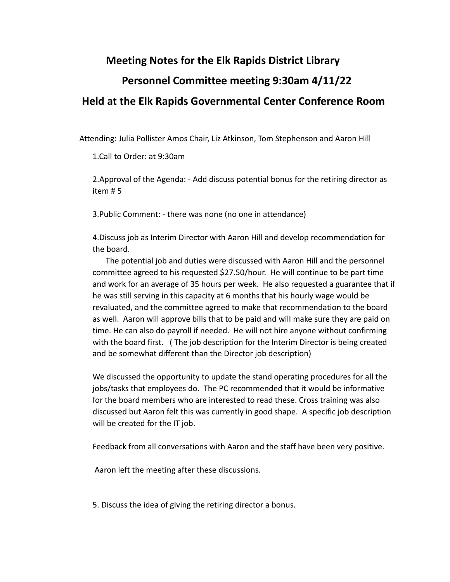## **Meeting Notes for the Elk Rapids District Library Personnel Committee meeting 9:30am 4/11/22 Held at the Elk Rapids Governmental Center Conference Room**

Attending: Julia Pollister Amos Chair, Liz Atkinson, Tom Stephenson and Aaron Hill

1.Call to Order: at 9:30am

2.Approval of the Agenda: - Add discuss potential bonus for the retiring director as item # 5

3.Public Comment: - there was none (no one in attendance)

4.Discuss job as Interim Director with Aaron Hill and develop recommendation for the board.

The potential job and duties were discussed with Aaron Hill and the personnel committee agreed to his requested \$27.50/hour. He will continue to be part time and work for an average of 35 hours per week. He also requested a guarantee that if he was still serving in this capacity at 6 months that his hourly wage would be revaluated, and the committee agreed to make that recommendation to the board as well. Aaron will approve bills that to be paid and will make sure they are paid on time. He can also do payroll if needed. He will not hire anyone without confirming with the board first. ( The job description for the Interim Director is being created and be somewhat different than the Director job description)

We discussed the opportunity to update the stand operating procedures for all the jobs/tasks that employees do. The PC recommended that it would be informative for the board members who are interested to read these. Cross training was also discussed but Aaron felt this was currently in good shape. A specific job description will be created for the IT job.

Feedback from all conversations with Aaron and the staff have been very positive.

Aaron left the meeting after these discussions.

5. Discuss the idea of giving the retiring director a bonus.